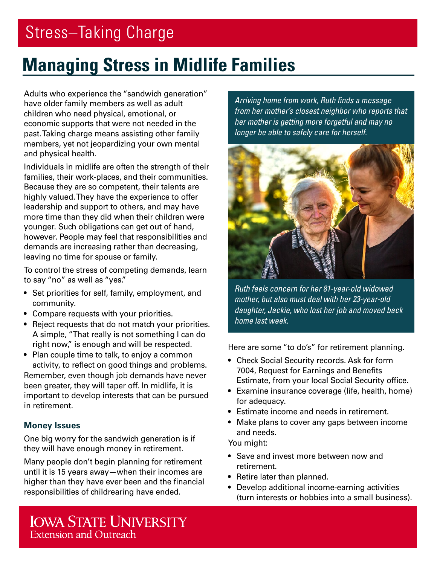# Stress–Taking Charge

## **Managing Stress in Midlife Families**

Adults who experience the "sandwich generation" have older family members as well as adult children who need physical, emotional, or economic supports that were not needed in the past. Taking charge means assisting other family members, yet not jeopardizing your own mental and physical health.

Individuals in midlife are often the strength of their families, their work-places, and their communities. Because they are so competent, their talents are highly valued. They have the experience to offer leadership and support to others, and may have more time than they did when their children were younger. Such obligations can get out of hand, however. People may feel that responsibilities and demands are increasing rather than decreasing, leaving no time for spouse or family.

To control the stress of competing demands, learn to say "no" as well as "yes."

- Set priorities for self, family, employment, and community.
- Compare requests with your priorities.
- Reject requests that do not match your priorities. A simple, "That really is not something I can do right now," is enough and will be respected.
- Plan couple time to talk, to enjoy a common activity, to reflect on good things and problems. Remember, even though job demands have never been greater, they will taper off. In midlife, it is important to develop interests that can be pursued in retirement.

### **Money Issues**

One big worry for the sandwich generation is if they will have enough money in retirement.

Many people don't begin planning for retirement until it is 15 years away—when their incomes are higher than they have ever been and the financial responsibilities of childrearing have ended.

*Arriving home from work, Ruth finds a message from her mother's closest neighbor who reports that her mother is getting more forgetful and may no longer be able to safely care for herself.* 



*Ruth feels concern for her 81-year-old widowed mother, but also must deal with her 23-year-old daughter, Jackie, who lost her job and moved back home last week.* 

Here are some "to do's" for retirement planning.

- Check Social Security records. Ask for form 7004, Request for Earnings and Benefits Estimate, from your local Social Security office.
- Examine insurance coverage (life, health, home) for adequacy.
- Estimate income and needs in retirement.
- Make plans to cover any gaps between income and needs.

You might:

- Save and invest more between now and retirement.
- Retire later than planned.
- Develop additional income-earning activities (turn interests or hobbies into a small business).

**IOWA STATE UNIVERSITY Extension and Outreach**